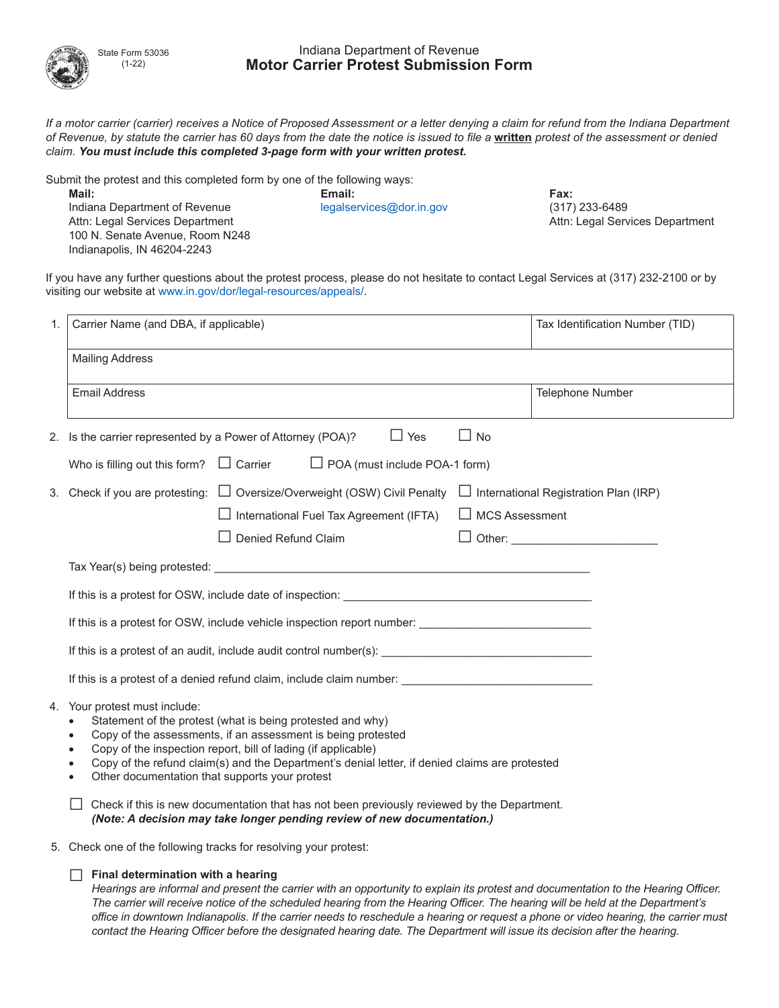

State Form 53036 (1-22)

## Indiana Department of Revenue **Motor Carrier Protest Submission Form**

*If a motor carrier (carrier) receives a Notice of Proposed Assessment or a letter denying a claim for refund from the Indiana Department of Revenue, by statute the carrier has 60 days from the date the notice is issued to file a* **written** *protest of the assessment or denied claim. You must include this completed 3-page form with your written protest.*

Submit the protest and this completed form by one of the following ways:

**Mail: Email: Fax:**  Indiana Department of Revenue legalservices@dor.in.gov (317) 233-6489 Attn: Legal Services Department Attn: Legal Services Department 100 N. Senate Avenue, Room N248 Indianapolis, IN 46204-2243

If you have any further questions about the protest process, please do not hesitate to contact Legal Services at (317) 232-2100 or by visiting our website at www.in.gov/dor/legal-resources/appeals/.

| 1. | Carrier Name (and DBA, if applicable)                                                                                                                                                                                                                                                                                                                                                                                                                                                        | Tax Identification Number (TID)    |  |
|----|----------------------------------------------------------------------------------------------------------------------------------------------------------------------------------------------------------------------------------------------------------------------------------------------------------------------------------------------------------------------------------------------------------------------------------------------------------------------------------------------|------------------------------------|--|
|    | <b>Mailing Address</b>                                                                                                                                                                                                                                                                                                                                                                                                                                                                       |                                    |  |
|    | <b>Email Address</b>                                                                                                                                                                                                                                                                                                                                                                                                                                                                         | <b>Telephone Number</b>            |  |
|    | $\Box$ No<br>2. Is the carrier represented by a Power of Attorney (POA)?<br>$\Box$ Yes                                                                                                                                                                                                                                                                                                                                                                                                       |                                    |  |
|    | $\Box$ POA (must include POA-1 form)<br>Who is filling out this form? $\Box$ Carrier                                                                                                                                                                                                                                                                                                                                                                                                         |                                    |  |
|    | 3. Check if you are protesting: □ Oversize/Overweight (OSW) Civil Penalty □ International Registration Plan (IRP)<br>$\Box$ MCS Assessment<br>$\Box$ International Fuel Tax Agreement (IFTA)<br>Denied Refund Claim                                                                                                                                                                                                                                                                          | □ Other: _________________________ |  |
|    | Tax Year(s) being protested: Letter and the set of the set of the set of the set of the set of the set of the set of the set of the set of the set of the set of the set of the set of the set of the set of the set of the se                                                                                                                                                                                                                                                               |                                    |  |
|    | If this is a protest for OSW, include vehicle inspection report number: ___________________________<br>If this is a protest of an audit, include audit control number(s): <b>All any of the set of an audit</b> control number(s):                                                                                                                                                                                                                                                           |                                    |  |
|    |                                                                                                                                                                                                                                                                                                                                                                                                                                                                                              |                                    |  |
|    |                                                                                                                                                                                                                                                                                                                                                                                                                                                                                              |                                    |  |
|    | If this is a protest of a denied refund claim, include claim number: ______________________________                                                                                                                                                                                                                                                                                                                                                                                          |                                    |  |
|    | 4. Your protest must include:<br>Statement of the protest (what is being protested and why)<br>Copy of the assessments, if an assessment is being protested<br>Copy of the inspection report, bill of lading (if applicable)<br>Copy of the refund claim(s) and the Department's denial letter, if denied claims are protested<br>Other documentation that supports your protest<br>$\bullet$<br>Check if this is new documentation that has not been previously reviewed by the Department. |                                    |  |
|    | (Note: A decision may take longer pending review of new documentation.)                                                                                                                                                                                                                                                                                                                                                                                                                      |                                    |  |
|    | 5. Check one of the following tracks for resolving your protest:                                                                                                                                                                                                                                                                                                                                                                                                                             |                                    |  |

□ **Final determination with a hearing**

*Hearings are informal and present the carrier with an opportunity to explain its protest and documentation to the Hearing Officer. The carrier will receive notice of the scheduled hearing from the Hearing Officer. The hearing will be held at the Department's office in downtown Indianapolis. If the carrier needs to reschedule a hearing or request a phone or video hearing, the carrier must contact the Hearing Officer before the designated hearing date. The Department will issue its decision after the hearing.*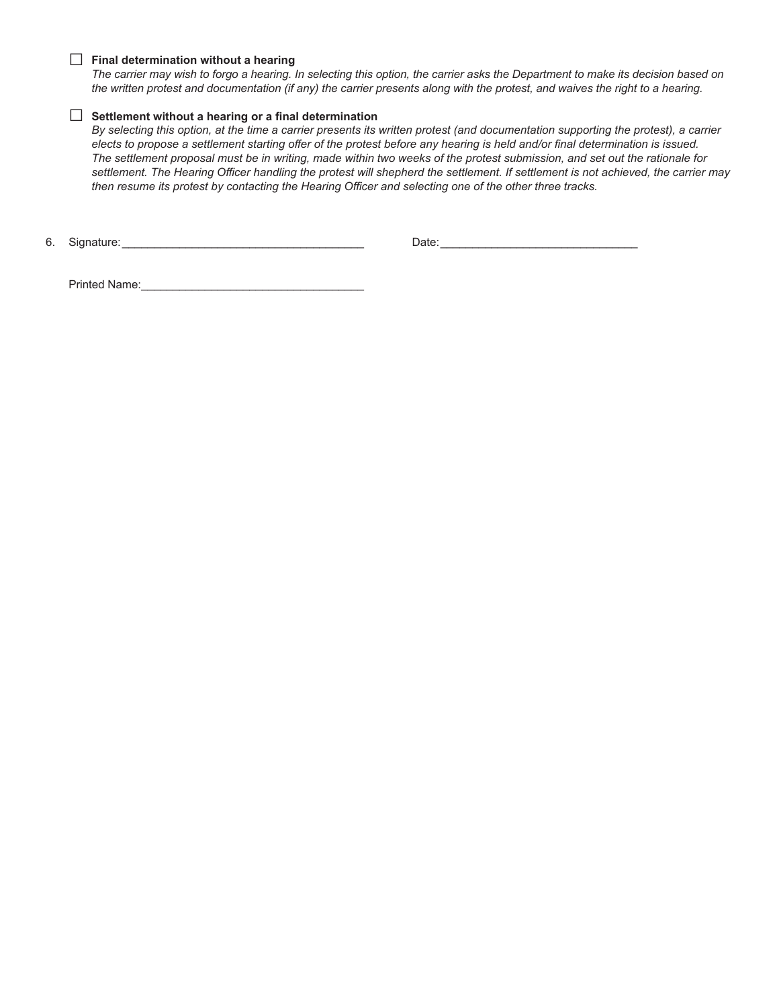#### □ **Final determination without a hearing**

*The carrier may wish to forgo a hearing. In selecting this option, the carrier asks the Department to make its decision based on the written protest and documentation (if any) the carrier presents along with the protest, and waives the right to a hearing.* 

### □ **Settlement without a hearing or a final determination**

*By selecting this option, at the time a carrier presents its written protest (and documentation supporting the protest), a carrier elects to propose a settlement starting offer of the protest before any hearing is held and/or final determination is issued. The settlement proposal must be in writing, made within two weeks of the protest submission, and set out the rationale for settlement. The Hearing Officer handling the protest will shepherd the settlement. If settlement is not achieved, the carrier may then resume its protest by contacting the Hearing Officer and selecting one of the other three tracks.* 

6. Signature:\_\_\_\_\_\_\_\_\_\_\_\_\_\_\_\_\_\_\_\_\_\_\_\_\_\_\_\_\_\_\_\_\_\_\_\_\_\_ Date:\_\_\_\_\_\_\_\_\_\_\_\_\_\_\_\_\_\_\_\_\_\_\_\_\_\_\_\_\_\_\_

Printed Name:\_\_\_\_\_\_\_\_\_\_\_\_\_\_\_\_\_\_\_\_\_\_\_\_\_\_\_\_\_\_\_\_\_\_\_